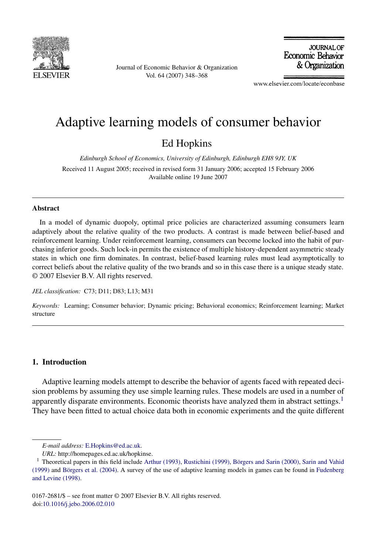

Journal of Economic Behavior & Organization Vol. 64 (2007) 348–368

**JOURNAL OF** Economic Behavior & Organization

www.elsevier.com/locate/econbase

# Adaptive learning models of consumer behavior

### Ed Hopkins

*Edinburgh School of Economics, University of Edinburgh, Edinburgh EH8 9JY, UK* Received 11 August 2005; received in revised form 31 January 2006; accepted 15 February 2006 Available online 19 June 2007

#### **Abstract**

In a model of dynamic duopoly, optimal price policies are characterized assuming consumers learn adaptively about the relative quality of the two products. A contrast is made between belief-based and reinforcement learning. Under reinforcement learning, consumers can become locked into the habit of purchasing inferior goods. Such lock-in permits the existence of multiple history-dependent asymmetric steady states in which one firm dominates. In contrast, belief-based learning rules must lead asymptotically to correct beliefs about the relative quality of the two brands and so in this case there is a unique steady state. © 2007 Elsevier B.V. All rights reserved.

*JEL classification:* C73; D11; D83; L13; M31

*Keywords:* Learning; Consumer behavior; Dynamic pricing; Behavioral economics; Reinforcement learning; Market structure

#### **1. Introduction**

Adaptive learning models attempt to describe the behavior of agents faced with repeated decision problems by assuming they use simple learning rules. These models are used in a number of apparently disparate environments. Economic theorists have analyzed them in abstract settings.<sup>1</sup> They have been fitted to actual choice data both in economic experiments and the quite different

*E-mail address:* [E.Hopkins@ed.ac.uk](mailto:E.Hopkins@ed.ac.uk).

*URL:* http://homepages.ed.ac.uk/hopkinse.

 $<sup>1</sup>$  Theoretical papers in this field include [Arthur \(1993\),](#page--1-0) [Rustichini \(1999\),](#page--1-0) Börgers and Sarin (2000), [Sarin and Vahid](#page--1-0)</sup> [\(1999\)](#page--1-0) and Börgers et al. (2004). A survey of the use of adaptive learning models in games can be found in [Fudenberg](#page--1-0) [and Levine \(1998\).](#page--1-0)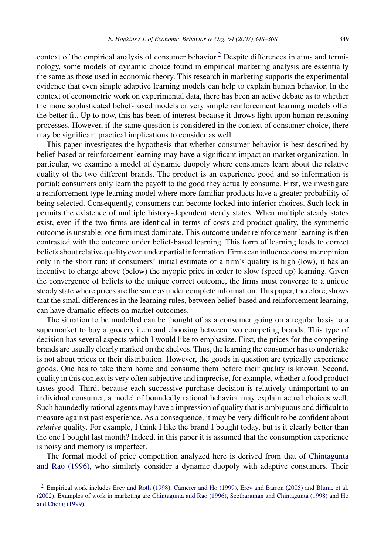context of the empirical analysis of consumer behavior.<sup>2</sup> Despite differences in aims and terminology, some models of dynamic choice found in empirical marketing analysis are essentially the same as those used in economic theory. This research in marketing supports the experimental evidence that even simple adaptive learning models can help to explain human behavior. In the context of econometric work on experimental data, there has been an active debate as to whether the more sophisticated belief-based models or very simple reinforcement learning models offer the better fit. Up to now, this has been of interest because it throws light upon human reasoning processes. However, if the same question is considered in the context of consumer choice, there may be significant practical implications to consider as well.

This paper investigates the hypothesis that whether consumer behavior is best described by belief-based or reinforcement learning may have a significant impact on market organization. In particular, we examine a model of dynamic duopoly where consumers learn about the relative quality of the two different brands. The product is an experience good and so information is partial: consumers only learn the payoff to the good they actually consume. First, we investigate a reinforcement type learning model where more familiar products have a greater probability of being selected. Consequently, consumers can become locked into inferior choices. Such lock-in permits the existence of multiple history-dependent steady states. When multiple steady states exist, even if the two firms are identical in terms of costs and product quality, the symmetric outcome is unstable: one firm must dominate. This outcome under reinforcement learning is then contrasted with the outcome under belief-based learning. This form of learning leads to correct beliefs about relative quality even under partial information. Firms can influence consumer opinion only in the short run: if consumers' initial estimate of a firm's quality is high (low), it has an incentive to charge above (below) the myopic price in order to slow (speed up) learning. Given the convergence of beliefs to the unique correct outcome, the firms must converge to a unique steady state where prices are the same as under complete information. This paper, therefore, shows that the small differences in the learning rules, between belief-based and reinforcement learning, can have dramatic effects on market outcomes.

The situation to be modelled can be thought of as a consumer going on a regular basis to a supermarket to buy a grocery item and choosing between two competing brands. This type of decision has several aspects which I would like to emphasize. First, the prices for the competing brands are usually clearly marked on the shelves. Thus, the learning the consumer has to undertake is not about prices or their distribution. However, the goods in question are typically experience goods. One has to take them home and consume them before their quality is known. Second, quality in this context is very often subjective and imprecise, for example, whether a food product tastes good. Third, because each successive purchase decision is relatively unimportant to an individual consumer, a model of boundedly rational behavior may explain actual choices well. Such boundedly rational agents may have a impression of quality that is ambiguous and difficult to measure against past experience. As a consequence, it may be very difficult to be confident about *relative* quality. For example, I think I like the brand I bought today, but is it clearly better than the one I bought last month? Indeed, in this paper it is assumed that the consumption experience is noisy and memory is imperfect.

The formal model of price competition analyzed here is derived from that of [Chintagunta](#page--1-0) [and Rao \(1996\),](#page--1-0) who similarly consider a dynamic duopoly with adaptive consumers. Their

<sup>2</sup> Empirical work includes [Erev and Roth \(1998\),](#page--1-0) [Camerer and Ho \(1999\),](#page--1-0) [Erev and Barron \(2005\)](#page--1-0) and [Blume et al.](#page--1-0) [\(2002\). E](#page--1-0)xamples of work in marketing are [Chintagunta and Rao \(1996\),](#page--1-0) [Seetharaman and Chintagunta \(1998\)](#page--1-0) and [Ho](#page--1-0) [and Chong \(1999\).](#page--1-0)